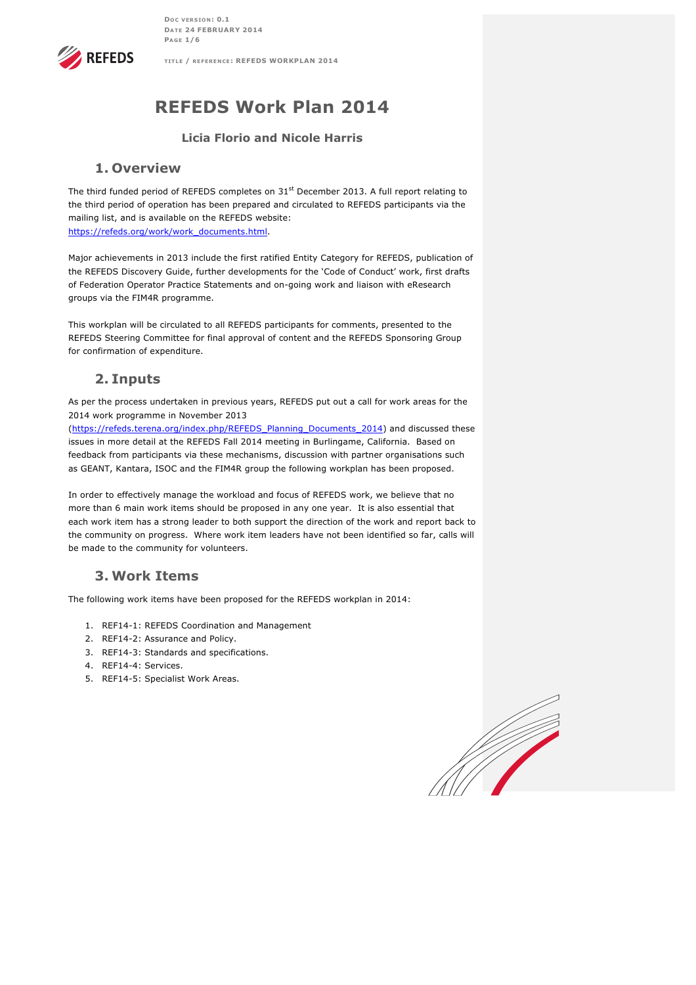**DOC VERSION : 0.1 DATE 24 FEBRUARY 2014 PAGE 1/6**

**TITLE / REFERENCE : REFEDS WORKPLAN 2014**



# **REFEDS Work Plan 2014**

### **Licia Florio and Nicole Harris**

### **1. Overview**

The third funded period of REFEDS completes on 31<sup>st</sup> December 2013. A full report relating to the third period of operation has been prepared and circulated to REFEDS participants via the mailing list, and is available on the REFEDS website: https://refeds.org/work/work\_documents.html.

Major achievements in 2013 include the first ratified Entity Category for REFEDS, publication of the REFEDS Discovery Guide, further developments for the 'Code of Conduct' work, first drafts of Federation Operator Practice Statements and on-going work and liaison with eResearch groups via the FIM4R programme.

This workplan will be circulated to all REFEDS participants for comments, presented to the REFEDS Steering Committee for final approval of content and the REFEDS Sponsoring Group for confirmation of expenditure.

### **2. Inputs**

As per the process undertaken in previous years, REFEDS put out a call for work areas for the 2014 work programme in November 2013

(https://refeds.terena.org/index.php/REFEDS\_Planning\_Documents\_2014) and discussed these issues in more detail at the REFEDS Fall 2014 meeting in Burlingame, California. Based on feedback from participants via these mechanisms, discussion with partner organisations such as GEANT, Kantara, ISOC and the FIM4R group the following workplan has been proposed.

In order to effectively manage the workload and focus of REFEDS work, we believe that no more than 6 main work items should be proposed in any one year. It is also essential that each work item has a strong leader to both support the direction of the work and report back to the community on progress. Where work item leaders have not been identified so far, calls will be made to the community for volunteers.

### **3. Work Items**

The following work items have been proposed for the REFEDS workplan in 2014:

- 1. REF14-1: REFEDS Coordination and Management
- 2. REF14-2: Assurance and Policy.
- 3. REF14-3: Standards and specifications.
- 4. REF14-4: Services.
- 5. REF14-5: Specialist Work Areas.

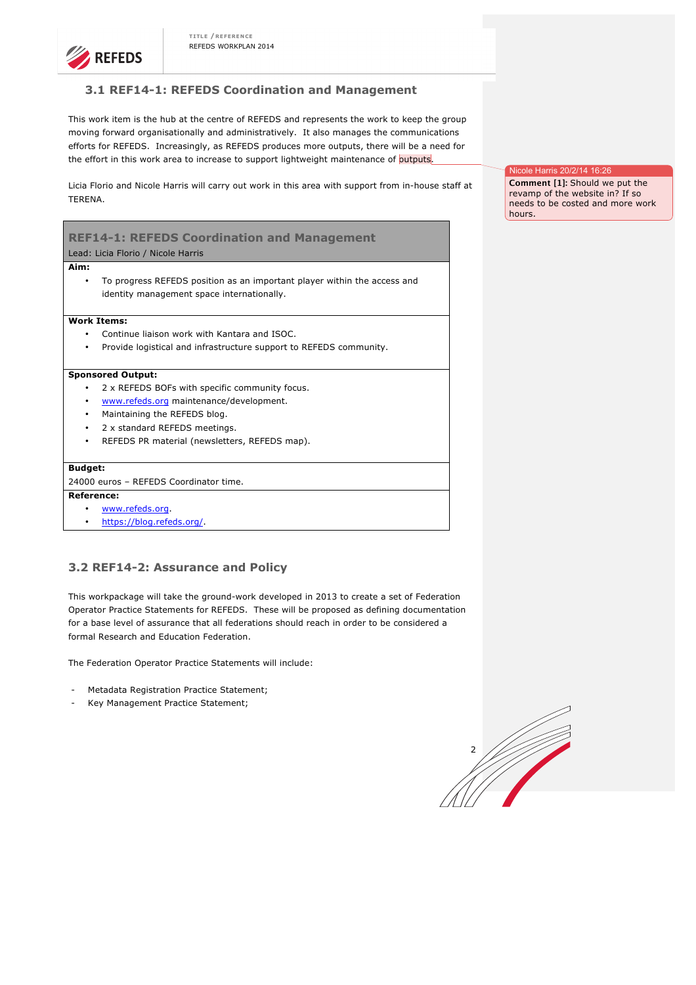

### **3.1 REF14-1: REFEDS Coordination and Management**

This work item is the hub at the centre of REFEDS and represents the work to keep the group moving forward organisationally and administratively. It also manages the communications efforts for REFEDS. Increasingly, as REFEDS produces more outputs, there will be a need for the effort in this work area to increase to support lightweight maintenance of outputs.

Licia Florio and Nicole Harris will carry out work in this area with support from in-house staff at TERENA.

## **REF14-1: REFEDS Coordination and Management**

Lead: Licia Florio / Nicole Harris

#### **Aim:**

• To progress REFEDS position as an important player within the access and identity management space internationally.

#### **Work Items:**

- Continue liaison work with Kantara and ISOC.
- Provide logistical and infrastructure support to REFEDS community.

#### **Sponsored Output:**

- 2 x REFEDS BOFs with specific community focus.
- www.refeds.org maintenance/development.
- Maintaining the REFEDS blog.
- 2 x standard REFEDS meetings.
- REFEDS PR material (newsletters, REFEDS map).

#### **Budget:**

24000 euros – REFEDS Coordinator time.

#### **Reference:**

- www.refeds.org.
- https://blog.refeds.org/.

### **3.2 REF14-2: Assurance and Policy**

This workpackage will take the ground-work developed in 2013 to create a set of Federation Operator Practice Statements for REFEDS. These will be proposed as defining documentation for a base level of assurance that all federations should reach in order to be considered a formal Research and Education Federation.

The Federation Operator Practice Statements will include:

- Metadata Registration Practice Statement;
- Key Management Practice Statement:



Ie Harris 20/2/14 16:26

**Comment [1]:** Should we put the revamp of the website in? If so needs to be costed and more work hours.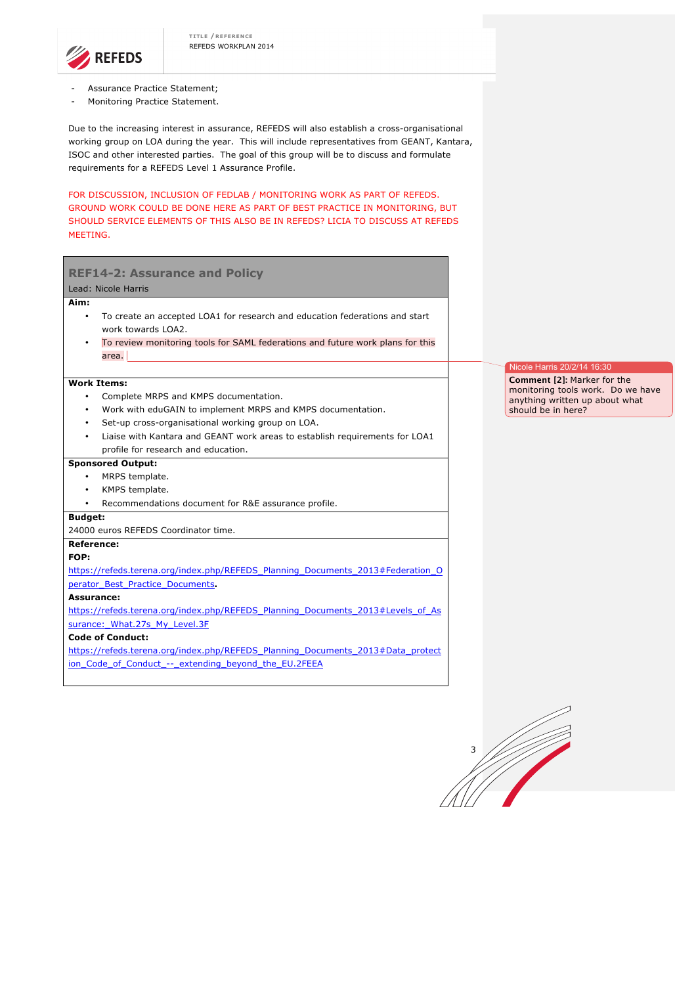

- Assurance Practice Statement;
- Monitoring Practice Statement.

Due to the increasing interest in assurance, REFEDS will also establish a cross-organisational working group on LOA during the year. This will include representatives from GEANT, Kantara, ISOC and other interested parties. The goal of this group will be to discuss and formulate requirements for a REFEDS Level 1 Assurance Profile.

FOR DISCUSSION, INCLUSION OF FEDLAB / MONITORING WORK AS PART OF REFEDS. GROUND WORK COULD BE DONE HERE AS PART OF BEST PRACTICE IN MONITORING, BUT SHOULD SERVICE ELEMENTS OF THIS ALSO BE IN REFEDS? LICIA TO DISCUSS AT REFEDS MEETING.

| <b>REF14-2: Assurance and Policy</b>                                                                           |                                                                         |  |  |  |  |
|----------------------------------------------------------------------------------------------------------------|-------------------------------------------------------------------------|--|--|--|--|
| Lead: Nicole Harris                                                                                            |                                                                         |  |  |  |  |
| Aim:                                                                                                           |                                                                         |  |  |  |  |
| To create an accepted LOA1 for research and education federations and start<br>$\bullet$<br>work towards LOA2. |                                                                         |  |  |  |  |
| To review monitoring tools for SAML federations and future work plans for this                                 |                                                                         |  |  |  |  |
| area.                                                                                                          |                                                                         |  |  |  |  |
|                                                                                                                | Nicole Harris 20/2/14 16:30                                             |  |  |  |  |
| <b>Work Items:</b>                                                                                             | <b>Comment [2]: Marker for the</b><br>monitoring tools work. Do we have |  |  |  |  |
| Complete MRPS and KMPS documentation.<br>$\bullet$                                                             | anything written up about what                                          |  |  |  |  |
| Work with eduGAIN to implement MRPS and KMPS documentation.<br>$\bullet$                                       | should be in here?                                                      |  |  |  |  |
| Set-up cross-organisational working group on LOA.<br>$\bullet$                                                 |                                                                         |  |  |  |  |
| Liaise with Kantara and GEANT work areas to establish requirements for LOA1                                    |                                                                         |  |  |  |  |
| profile for research and education.                                                                            |                                                                         |  |  |  |  |
| <b>Sponsored Output:</b>                                                                                       |                                                                         |  |  |  |  |
| MRPS template.<br>$\bullet$                                                                                    |                                                                         |  |  |  |  |
| KMPS template.<br>$\bullet$                                                                                    |                                                                         |  |  |  |  |
| Recommendations document for R&E assurance profile.<br>$\bullet$                                               |                                                                         |  |  |  |  |
| <b>Budget:</b>                                                                                                 |                                                                         |  |  |  |  |
| 24000 euros REFEDS Coordinator time.                                                                           |                                                                         |  |  |  |  |
| <b>Reference:</b>                                                                                              |                                                                         |  |  |  |  |
| FOP:                                                                                                           |                                                                         |  |  |  |  |
| https://refeds.terena.org/index.php/REFEDS Planning Documents 2013#Federation O                                |                                                                         |  |  |  |  |
| perator_Best_Practice_Documents.                                                                               |                                                                         |  |  |  |  |
| Assurance:                                                                                                     |                                                                         |  |  |  |  |
| https://refeds.terena.org/index.php/REFEDS_Planning_Documents_2013#Levels_of_As                                |                                                                         |  |  |  |  |
| surance: What.27s My Level.3F                                                                                  |                                                                         |  |  |  |  |
| <b>Code of Conduct:</b>                                                                                        |                                                                         |  |  |  |  |
| https://refeds.terena.org/index.php/REFEDS_Planning_Documents_2013#Data_protect                                |                                                                         |  |  |  |  |
| ion Code of Conduct -- extending beyond the EU.2FEEA                                                           |                                                                         |  |  |  |  |
|                                                                                                                |                                                                         |  |  |  |  |
|                                                                                                                |                                                                         |  |  |  |  |

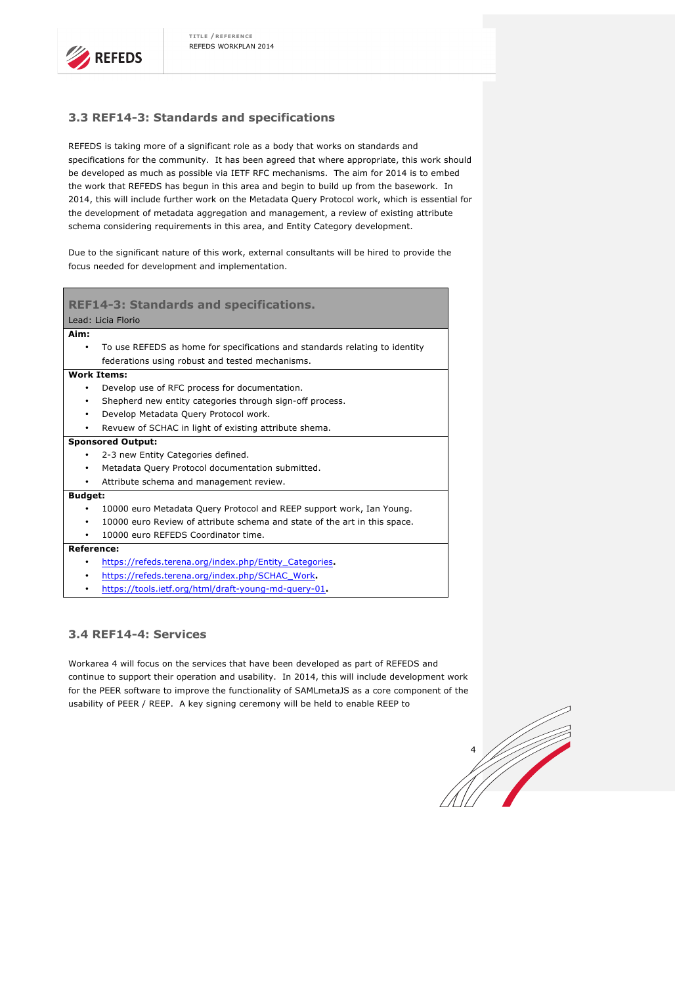### **3.3 REF14-3: Standards and specifications**

REFEDS is taking more of a significant role as a body that works on standards and specifications for the community. It has been agreed that where appropriate, this work should be developed as much as possible via IETF RFC mechanisms. The aim for 2014 is to embed the work that REFEDS has begun in this area and begin to build up from the basework. In 2014, this will include further work on the Metadata Query Protocol work, which is essential for the development of metadata aggregation and management, a review of existing attribute schema considering requirements in this area, and Entity Category development.

Due to the significant nature of this work, external consultants will be hired to provide the focus needed for development and implementation.

| <b>REF14-3: Standards and specifications.</b> |                                                                             |  |  |
|-----------------------------------------------|-----------------------------------------------------------------------------|--|--|
| Lead: Licia Florio                            |                                                                             |  |  |
| Aim:                                          |                                                                             |  |  |
| ٠                                             | To use REFEDS as home for specifications and standards relating to identity |  |  |
|                                               | federations using robust and tested mechanisms.                             |  |  |
| <b>Work Items:</b>                            |                                                                             |  |  |
| ٠                                             | Develop use of RFC process for documentation.                               |  |  |
| ٠                                             | Shepherd new entity categories through sign-off process.                    |  |  |
| ٠                                             | Develop Metadata Query Protocol work.                                       |  |  |
|                                               | Revuew of SCHAC in light of existing attribute shema.                       |  |  |
| <b>Sponsored Output:</b>                      |                                                                             |  |  |
| ٠                                             | 2-3 new Entity Categories defined.                                          |  |  |
| $\bullet$                                     | Metadata Query Protocol documentation submitted.                            |  |  |
|                                               | Attribute schema and management review.                                     |  |  |
| <b>Budget:</b>                                |                                                                             |  |  |
|                                               | 10000 euro Metadata Query Protocol and REEP support work, Ian Young.        |  |  |
| ٠                                             | 10000 euro Review of attribute schema and state of the art in this space.   |  |  |
|                                               | 10000 euro REFEDS Coordinator time.                                         |  |  |
| <b>Reference:</b>                             |                                                                             |  |  |
|                                               | https://refeds.terena.org/index.php/Entity_Categories.                      |  |  |
|                                               | https://refeds.terena.org/index.php/SCHAC_Work.                             |  |  |

• https://tools.ietf.org/html/draft-young-md-query-01**.** 

### **3.4 REF14-4: Services**

Workarea 4 will focus on the services that have been developed as part of REFEDS and continue to support their operation and usability. In 2014, this will include development work for the PEER software to improve the functionality of SAMLmetaJS as a core component of the usability of PEER / REEP. A key signing ceremony will be held to enable REEP to

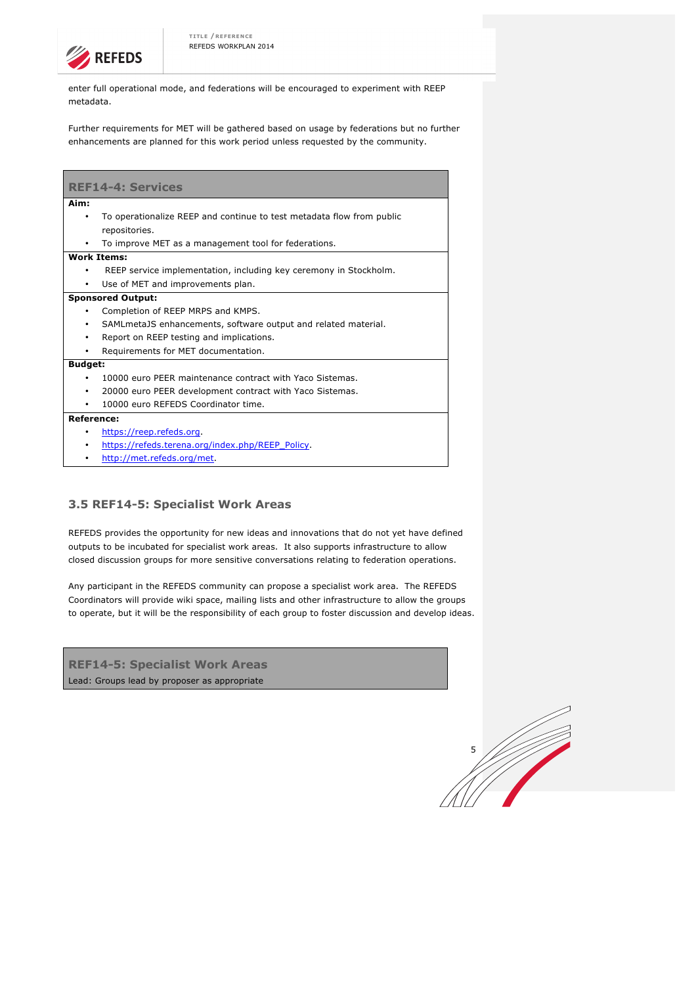

enter full operational mode, and federations will be encouraged to experiment with REEP metadata.

Further requirements for MET will be gathered based on usage by federations but no further enhancements are planned for this work period unless requested by the community.

| <b>REF14-4: Services</b> |                                                                       |  |
|--------------------------|-----------------------------------------------------------------------|--|
| Aim:                     |                                                                       |  |
| ٠                        | To operationalize REEP and continue to test metadata flow from public |  |
|                          | repositories.                                                         |  |
| ٠                        | To improve MET as a management tool for federations.                  |  |
| <b>Work Items:</b>       |                                                                       |  |
| ٠                        | REEP service implementation, including key ceremony in Stockholm.     |  |
| ٠                        | Use of MET and improvements plan.                                     |  |
| <b>Sponsored Output:</b> |                                                                       |  |
| ٠                        | Completion of REEP MRPS and KMPS.                                     |  |
| ٠                        | SAML metaJS enhancements, software output and related material.       |  |
| ٠                        | Report on REEP testing and implications.                              |  |
|                          | Requirements for MET documentation.                                   |  |
| <b>Budget:</b>           |                                                                       |  |
| ٠                        | 10000 euro PEER maintenance contract with Yaco Sistemas.              |  |
| ٠                        | 20000 euro PEER development contract with Yaco Sistemas.              |  |
|                          | 10000 euro REFEDS Coordinator time.                                   |  |
| Reference:               |                                                                       |  |
| ٠                        | https://reep.refeds.org.                                              |  |
| ٠                        | https://refeds.terena.org/index.php/REEP_Policy.                      |  |
|                          | http://met.refeds.org/met.                                            |  |

### **3.5 REF14-5: Specialist Work Areas**

REFEDS provides the opportunity for new ideas and innovations that do not yet have defined outputs to be incubated for specialist work areas. It also supports infrastructure to allow closed discussion groups for more sensitive conversations relating to federation operations.

Any participant in the REFEDS community can propose a specialist work area. The REFEDS Coordinators will provide wiki space, mailing lists and other infrastructure to allow the groups to operate, but it will be the responsibility of each group to foster discussion and develop ideas.

**REF14-5: Specialist Work Areas**  Lead: Groups lead by proposer as appropriate